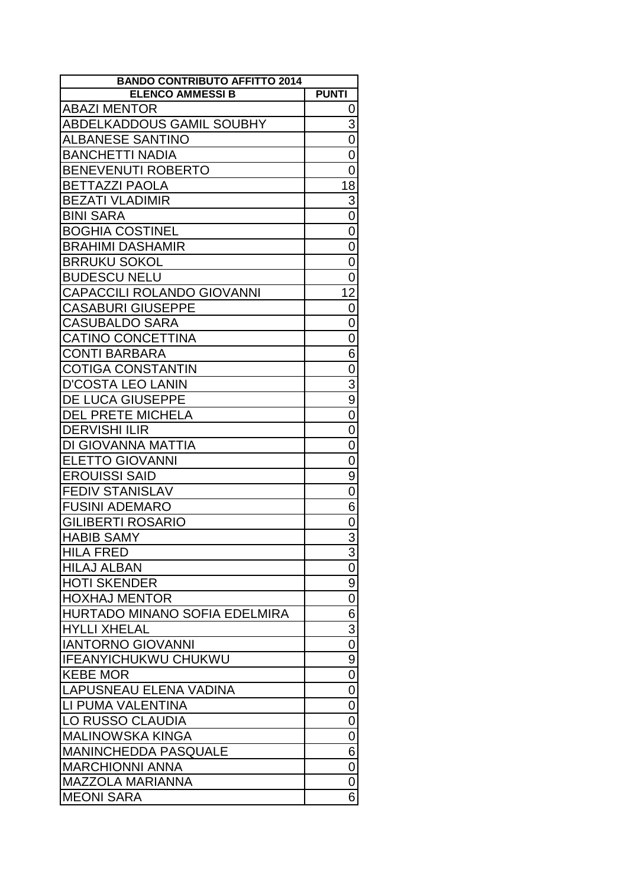| <b>BANDO CONTRIBUTO AFFITTO 2014</b> |                  |
|--------------------------------------|------------------|
| <b>ELENCO AMMESSI B</b>              | <b>PUNTI</b>     |
| <b>ABAZI MENTOR</b>                  | 0                |
| ABDELKADDOUS GAMIL SOUBHY            | 3                |
| <b>ALBANESE SANTINO</b>              | $\overline{0}$   |
| <b>BANCHETTI NADIA</b>               | $\mathbf 0$      |
| <b>BENEVENUTI ROBERTO</b>            | 0                |
| <b>BETTAZZI PAOLA</b>                | 18               |
| <b>BEZATI VLADIMIR</b>               | $\overline{3}$   |
| <b>BINI SARA</b>                     | $\overline{0}$   |
| <b>BOGHIA COSTINEL</b>               | $\overline{0}$   |
| <b>BRAHIMI DASHAMIR</b>              | $\mathbf 0$      |
| <b>BRRUKU SOKOL</b>                  | $\mathbf 0$      |
| <b>BUDESCU NELU</b>                  | 0                |
| <b>CAPACCILI ROLANDO GIOVANNI</b>    | 12               |
| <b>CASABURI GIUSEPPE</b>             | 0                |
| <b>CASUBALDO SARA</b>                | 0                |
| <b>CATINO CONCETTINA</b>             | $\overline{0}$   |
|                                      |                  |
| <b>CONTI BARBARA</b>                 | 6                |
| <b>COTIGA CONSTANTIN</b>             | $\mathbf 0$      |
| <b>D'COSTA LEO LANIN</b>             | $\overline{3}$   |
| DE LUCA GIUSEPPE                     | $\overline{9}$   |
| <b>DEL PRETE MICHELA</b>             | $\mathbf 0$      |
| <b>DERVISHI ILIR</b>                 | $\overline{0}$   |
| DI GIOVANNA MATTIA                   | $\overline{0}$   |
| <b>ELETTO GIOVANNI</b>               | 0                |
| <b>EROUISSI SAID</b>                 | 9                |
| <b>FEDIV STANISLAV</b>               | $\boldsymbol{0}$ |
| <b>FUSINI ADEMARO</b>                | $\overline{6}$   |
| <b>GILIBERTI ROSARIO</b>             | 0                |
| <b>HABIB SAMY</b>                    | $\overline{3}$   |
| <b>HILA FRED</b>                     | 3                |
| <b>HILAJ ALBAN</b>                   | 0                |
| <b>HOTI SKENDER</b>                  | $\overline{9}$   |
| <b>HOXHAJ MENTOR</b>                 | $\boldsymbol{0}$ |
| <b>HURTADO MINANO SOFIA EDELMIRA</b> | $\overline{6}$   |
| <b>HYLLI XHELAL</b>                  | $\overline{3}$   |
| <b>IANTORNO GIOVANNI</b>             | 0                |
| <b>IFEANYICHUKWU CHUKWU</b>          | 9                |
| <b>KEBE MOR</b>                      | $\pmb{0}$        |
| LAPUSNEAU ELENA VADINA               | $\mathbf 0$      |
| LI PUMA VALENTINA                    | $\mathbf 0$      |
| LO RUSSO CLAUDIA                     | $\overline{0}$   |
| <b>MALINOWSKA KINGA</b>              | 0                |
| <b>MANINCHEDDA PASQUALE</b>          | 6                |
| <b>MARCHIONNI ANNA</b>               | $\pmb{0}$        |
| <b>MAZZOLA MARIANNA</b>              | 0                |
| <b>MEONI SARA</b>                    | 6                |
|                                      |                  |